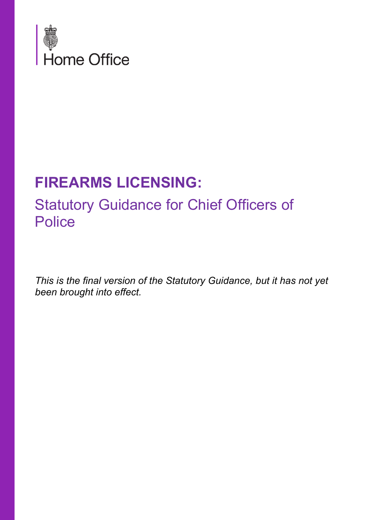

# **FIREARMS LICENSING:**

# Statutory Guidance for Chief Officers of **Police**

*This is the final version of the Statutory Guidance, but it has not yet been brought into effect.*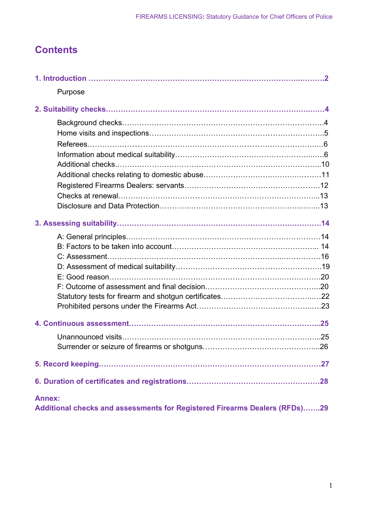### **Contents**

| Purpose                                                                    |  |
|----------------------------------------------------------------------------|--|
|                                                                            |  |
|                                                                            |  |
|                                                                            |  |
|                                                                            |  |
|                                                                            |  |
|                                                                            |  |
|                                                                            |  |
|                                                                            |  |
|                                                                            |  |
|                                                                            |  |
|                                                                            |  |
|                                                                            |  |
|                                                                            |  |
|                                                                            |  |
|                                                                            |  |
|                                                                            |  |
|                                                                            |  |
|                                                                            |  |
|                                                                            |  |
|                                                                            |  |
|                                                                            |  |
|                                                                            |  |
|                                                                            |  |
|                                                                            |  |
| <b>Annex:</b>                                                              |  |
| Additional checks and assessments for Registered Firearms Dealers (RFDs)29 |  |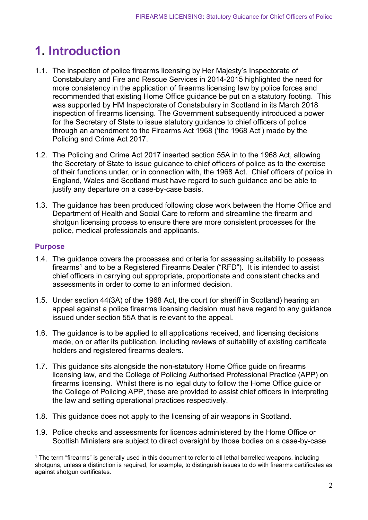## **1. Introduction**

- 1.1. The inspection of police firearms licensing by Her Majesty's Inspectorate of Constabulary and Fire and Rescue Services in 2014-2015 highlighted the need for more consistency in the application of firearms licensing law by police forces and recommended that existing Home Office guidance be put on a statutory footing. This was supported by HM Inspectorate of Constabulary in Scotland in its March 2018 inspection of firearms licensing. The Government subsequently introduced a power for the Secretary of State to issue statutory guidance to chief officers of police through an amendment to the Firearms Act 1968 ('the 1968 Act') made by the Policing and Crime Act 2017.
- 1.2. The Policing and Crime Act 2017 inserted section 55A in to the 1968 Act, allowing the Secretary of State to issue guidance to chief officers of police as to the exercise of their functions under, or in connection with, the 1968 Act. Chief officers of police in England, Wales and Scotland must have regard to such guidance and be able to justify any departure on a case-by-case basis.
- 1.3. The guidance has been produced following close work between the Home Office and Department of Health and Social Care to reform and streamline the firearm and shotgun licensing process to ensure there are more consistent processes for the police, medical professionals and applicants.

#### **Purpose**

- 1.4. The guidance covers the processes and criteria for assessing suitability to possess firearms<sup>[1](#page-2-0)</sup> and to be a Registered Firearms Dealer ("RFD"). It is intended to assist chief officers in carrying out appropriate, proportionate and consistent checks and assessments in order to come to an informed decision.
- 1.5. Under section 44(3A) of the 1968 Act, the court (or sheriff in Scotland) hearing an appeal against a police firearms licensing decision must have regard to any guidance issued under section 55A that is relevant to the appeal.
- 1.6. The guidance is to be applied to all applications received, and licensing decisions made, on or after its publication, including reviews of suitability of existing certificate holders and registered firearms dealers.
- 1.7. This guidance sits alongside the non-statutory Home Office guide on firearms licensing law, and the College of Policing Authorised Professional Practice (APP) on firearms licensing. Whilst there is no legal duty to follow the Home Office guide or the College of Policing APP, these are provided to assist chief officers in interpreting the law and setting operational practices respectively.
- 1.8. This guidance does not apply to the licensing of air weapons in Scotland.
- 1.9. Police checks and assessments for licences administered by the Home Office or Scottish Ministers are subject to direct oversight by those bodies on a case-by-case

<span id="page-2-0"></span><sup>&</sup>lt;sup>1</sup> The term "firearms" is generally used in this document to refer to all lethal barrelled weapons. including shotguns, unless a distinction is required, for example, to distinguish issues to do with firearms certificates as against shotgun certificates.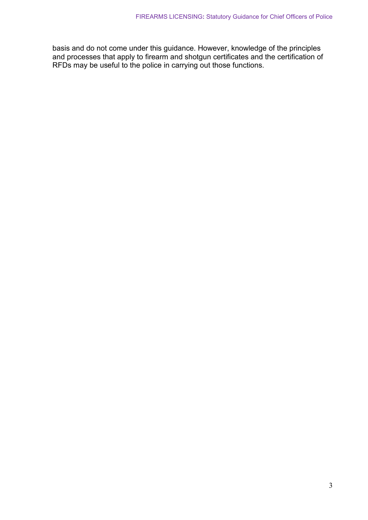basis and do not come under this guidance. However, knowledge of the principles and processes that apply to firearm and shotgun certificates and the certification of RFDs may be useful to the police in carrying out those functions.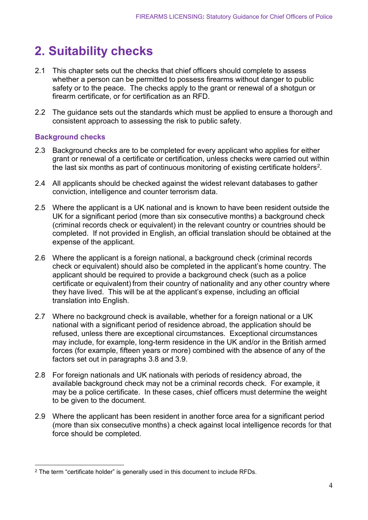## <span id="page-4-0"></span>**2. Suitability checks**

- 2.1 This chapter sets out the checks that chief officers should complete to assess whether a person can be permitted to possess firearms without danger to public safety or to the peace. The checks apply to the grant or renewal of a shotgun or firearm certificate, or for certification as an RFD.
- 2.2 The guidance sets out the standards which must be applied to ensure a thorough and consistent approach to assessing the risk to public safety.

#### **Background checks**

- 2.3 Background checks are to be completed for every applicant who applies for either grant or renewal of a certificate or certification, unless checks were carried out within the last six months as part of continuous monitoring of existing certificate holders<sup>[2](#page-4-1)</sup>.
- 2.4 All applicants should be checked against the widest relevant databases to gather conviction, intelligence and counter terrorism data.
- 2.5 Where the applicant is a UK national and is known to have been resident outside the UK for a significant period (more than six consecutive months) a background check (criminal records check or equivalent) in the relevant country or countries should be completed. If not provided in English, an official translation should be obtained at the expense of the applicant.
- 2.6 Where the applicant is a foreign national, a background check (criminal records check or equivalent) should also be completed in the applicant's home country. The applicant should be required to provide a background check (such as a police certificate or equivalent) from their country of nationality and any other country where they have lived. This will be at the applicant's expense, including an official translation into English.
- 2.7 Where no background check is available, whether for a foreign national or a UK national with a significant period of residence abroad, the application should be refused, unless there are exceptional circumstances. Exceptional circumstances may include, for example, long-term residence in the UK and/or in the British armed forces (for example, fifteen years or more) combined with the absence of any of the factors set out in paragraphs 3.8 and 3.9.
- 2.8 For foreign nationals and UK nationals with periods of residency abroad, the available background check may not be a criminal records check. For example, it may be a police certificate. In these cases, chief officers must determine the weight to be given to the document.
- 2.9 Where the applicant has been resident in another force area for a significant period (more than six consecutive months) a check against local intelligence records for that force should be completed.

<span id="page-4-1"></span><sup>2</sup> The term "certificate holder" is generally used in this document to include RFDs.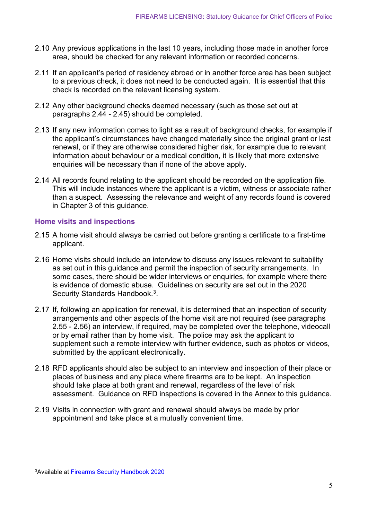- 2.10 Any previous applications in the last 10 years, including those made in another force area, should be checked for any relevant information or recorded concerns.
- 2.11 If an applicant's period of residency abroad or in another force area has been subject to a previous check, it does not need to be conducted again. It is essential that this check is recorded on the relevant licensing system.
- 2.12 Any other background checks deemed necessary (such as those set out at paragraphs 2.44 - 2.45) should be completed.
- 2.13 If any new information comes to light as a result of background checks, for example if the applicant's circumstances have changed materially since the original grant or last renewal, or if they are otherwise considered higher risk, for example due to relevant information about behaviour or a medical condition, it is likely that more extensive enquiries will be necessary than if none of the above apply.
- 2.14 All records found relating to the applicant should be recorded on the application file. This will include instances where the applicant is a victim, witness or associate rather than a suspect. Assessing the relevance and weight of any records found is covered in Chapter 3 of this guidance.

#### **Home visits and inspections**

- 2.15 A home visit should always be carried out before granting a certificate to a first-time applicant.
- 2.16 Home visits should include an interview to discuss any issues relevant to suitability as set out in this guidance and permit the inspection of security arrangements. In some cases, there should be wider interviews or enquiries, for example where there is evidence of domestic abuse. Guidelines on security are set out in the 2020 Security Standards Handbook.<sup>3</sup>.
- 2.17 If, following an application for renewal, it is determined that an inspection of security arrangements and other aspects of the home visit are not required (see paragraphs 2.55 - 2.56) an interview, if required, may be completed over the telephone, videocall or by email rather than by home visit. The police may ask the applicant to supplement such a remote interview with further evidence, such as photos or videos, submitted by the applicant electronically.
- 2.18 RFD applicants should also be subject to an interview and inspection of their place or places of business and any place where firearms are to be kept. An inspection should take place at both grant and renewal, regardless of the level of risk assessment. Guidance on RFD inspections is covered in the Annex to this guidance.
- 2.19 Visits in connection with grant and renewal should always be made by prior appointment and take place at a mutually convenient time.

<span id="page-5-0"></span><sup>3</sup>Available at Firearms [Security Handbook 2020](https://assets.publishing.service.gov.uk/government/uploads/system/uploads/attachment_data/file/953881/Firearms_Security_Manual_2020.pdf)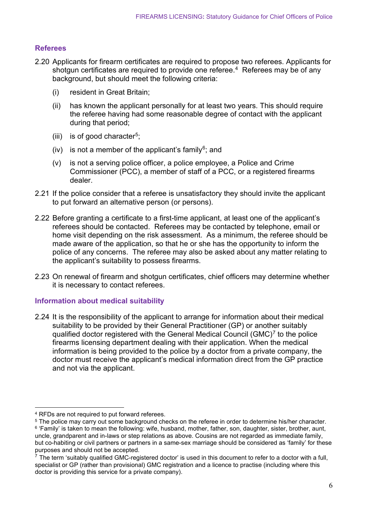#### **Referees**

- 2.20 Applicants for firearm certificates are required to propose two referees. Applicants for shotgun certificates are required to provide one referee. [4](#page-6-0) Referees may be of any background, but should meet the following criteria:
	- (i) resident in Great Britain;
	- (ii) has known the applicant personally for at least two years. This should require the referee having had some reasonable degree of contact with the applicant during that period;
	- (iii) is of good character<sup>5</sup>;
	- (iv) is not a member of the applicant's family<sup>[6](#page-6-2)</sup>; and
	- (v) is not a serving police officer, a police employee, a Police and Crime Commissioner (PCC), a member of staff of a PCC, or a registered firearms dealer.
- 2.21 If the police consider that a referee is unsatisfactory they should invite the applicant to put forward an alternative person (or persons).
- 2.22 Before granting a certificate to a first-time applicant, at least one of the applicant's referees should be contacted. Referees may be contacted by telephone, email or home visit depending on the risk assessment. As a minimum, the referee should be made aware of the application, so that he or she has the opportunity to inform the police of any concerns. The referee may also be asked about any matter relating to the applicant's suitability to possess firearms.
- 2.23 On renewal of firearm and shotgun certificates, chief officers may determine whether it is necessary to contact referees.

#### **Information about medical suitability**

2.24 It is the responsibility of the applicant to arrange for information about their medical suitability to be provided by their General Practitioner (GP) or another suitably qualified doctor registered with the General Medical Council (GMC)[7](#page-6-3) to the police firearms licensing department dealing with their application. When the medical information is being provided to the police by a doctor from a private company, the doctor must receive the applicant's medical information direct from the GP practice and not via the applicant.

<span id="page-6-0"></span><sup>4</sup> RFDs are not required to put forward referees.

<span id="page-6-2"></span><span id="page-6-1"></span><sup>&</sup>lt;sup>5</sup> The police may carry out some background checks on the referee in order to determine his/her character. <sup>6</sup> 'Family' is taken to mean the following: wife, husband, mother, father, son, daughter, sister, brother, aunt, uncle, grandparent and in-laws or step relations as above. Cousins are not regarded as immediate family, but co-habiting or civil partners or partners in a same-sex marriage should be considered as 'family' for these purposes and should not be accepted.

<span id="page-6-3"></span> $^7$  The term 'suitably qualified GMC-registered doctor' is used in this document to refer to a doctor with a full, specialist or GP (rather than provisional) GMC registration and a licence to practise (including where this doctor is providing this service for a private company).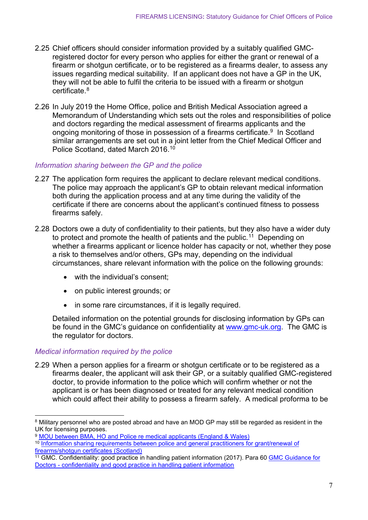- 2.25 Chief officers should consider information provided by a suitably qualified GMCregistered doctor for every person who applies for either the grant or renewal of a firearm or shotgun certificate, or to be registered as a firearms dealer, to assess any issues regarding medical suitability. If an applicant does not have a GP in the UK, they will not be able to fulfil the criteria to be issued with a firearm or shotgun certificate. [8](#page-7-0)
- 2.26 In July 2019 the Home Office, police and British Medical Association agreed a Memorandum of Understanding which sets out the roles and responsibilities of police and doctors regarding the medical assessment of firearms applicants and the ongoing monitoring of those in possession of a firearms certificate. [9](#page-7-1) In Scotland similar arrangements are set out in a joint letter from the Chief Medical Officer and Police Scotland, dated March 2016.[10](#page-7-2)

#### *Information sharing between the GP and the police*

- 2.27 The application form requires the applicant to declare relevant medical conditions. The police may approach the applicant's GP to obtain relevant medical information both during the application process and at any time during the validity of the certificate if there are concerns about the applicant's continued fitness to possess firearms safely.
- 2.28 Doctors owe a duty of confidentiality to their patients, but they also have a wider duty to protect and promote the health of patients and the public.<sup>[11](#page-7-3)</sup> Depending on whether a firearms applicant or licence holder has capacity or not, whether they pose a risk to themselves and/or others, GPs may, depending on the individual circumstances, share relevant information with the police on the following grounds:
	- with the individual's consent;
	- on public interest grounds; or
	- in some rare circumstances, if it is legally required.

Detailed information on the potential grounds for disclosing information by GPs can be found in the GMC's guidance on confidentiality at [www.gmc-uk.org.](https://www.gmc-uk.org/-/media/documents/gmc-guidance-for-doctors---confidentiality-good-practice-in-handling-patient-information----70080105.pdf?la=en&hash=08E96AC70CEE25912CE2EA98E5AA3303EADB5D88) The GMC is the regulator for doctors.

#### *Medical information required by the police*

2.29 When a person applies for a firearm or shotgun certificate or to be registered as a firearms dealer, the applicant will ask their GP, or a suitably qualified GMC-registered doctor, to provide information to the police which will confirm whether or not the applicant is or has been diagnosed or treated for any relevant medical condition which could affect their ability to possess a firearm safely. A medical proforma to be

<span id="page-7-1"></span><sup>9</sup> [MOU between BMA, HO and Police re medical applicants \(England & Wales\)](https://www.sheffield-lmc.org.uk/website/IGP217/files/Firearms%20MoU%20(18%20July%202019).pdf)

<span id="page-7-0"></span><sup>&</sup>lt;sup>8</sup> Military personnel who are posted abroad and have an MOD GP may still be regarded as resident in the UK for licensing purposes.

<span id="page-7-2"></span><sup>10</sup> [Information sharing requirements between police and general practitioners for grant/renewal of](https://www.sehd.scot.nhs.uk/cmo/CMO(2016)07.pdf)  [firearms/shotgun certificates \(Scotland\)](https://www.sehd.scot.nhs.uk/cmo/CMO(2016)07.pdf)

<span id="page-7-3"></span><sup>11</sup> GMC. Confidentiality: good practice in handling patient information (2017). Para 60 [GMC Guidance for](https://www.gmc-uk.org/-/media/documents/gmc-guidance-for-doctors---confidentiality-good-practice-in-handling-patient-information----70080105.pdf)  Doctors - [confidentiality and good practice in handling patient information](https://www.gmc-uk.org/-/media/documents/gmc-guidance-for-doctors---confidentiality-good-practice-in-handling-patient-information----70080105.pdf)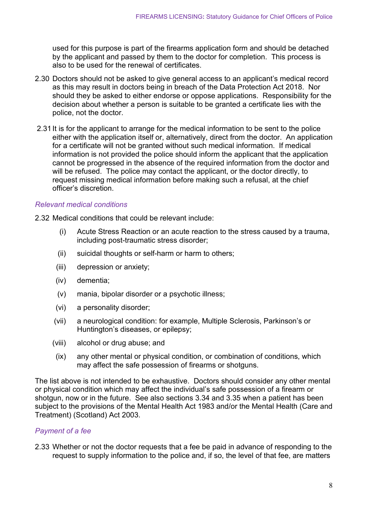used for this purpose is part of the firearms application form and should be detached by the applicant and passed by them to the doctor for completion. This process is also to be used for the renewal of certificates.

- 2.30 Doctors should not be asked to give general access to an applicant's medical record as this may result in doctors being in breach of the Data Protection Act 2018. Nor should they be asked to either endorse or oppose applications. Responsibility for the decision about whether a person is suitable to be granted a certificate lies with the police, not the doctor.
- 2.31 It is for the applicant to arrange for the medical information to be sent to the police either with the application itself or, alternatively, direct from the doctor. An application for a certificate will not be granted without such medical information. If medical information is not provided the police should inform the applicant that the application cannot be progressed in the absence of the required information from the doctor and will be refused. The police may contact the applicant, or the doctor directly, to request missing medical information before making such a refusal, at the chief officer's discretion.

#### *Relevant medical conditions*

2.32 Medical conditions that could be relevant include:

- (i) Acute Stress Reaction or an acute reaction to the stress caused by a trauma, including post-traumatic stress disorder;
- (ii) suicidal thoughts or self-harm or harm to others;
- (iii) depression or anxiety;
- (iv) dementia;
- (v) mania, bipolar disorder or a psychotic illness;
- (vi) a personality disorder;
- (vii) a neurological condition: for example, Multiple Sclerosis, Parkinson's or Huntington's diseases, or epilepsy;
- (viii) alcohol or drug abuse; and
- (ix) any other mental or physical condition, or combination of conditions, which may affect the safe possession of firearms or shotguns.

The list above is not intended to be exhaustive. Doctors should consider any other mental or physical condition which may affect the individual's safe possession of a firearm or shotgun, now or in the future. See also sections 3.34 and 3.35 when a patient has been subject to the provisions of the Mental Health Act 1983 and/or the Mental Health (Care and Treatment) (Scotland) Act 2003.

#### *Payment of a fee*

2.33 Whether or not the doctor requests that a fee be paid in advance of responding to the request to supply information to the police and, if so, the level of that fee, are matters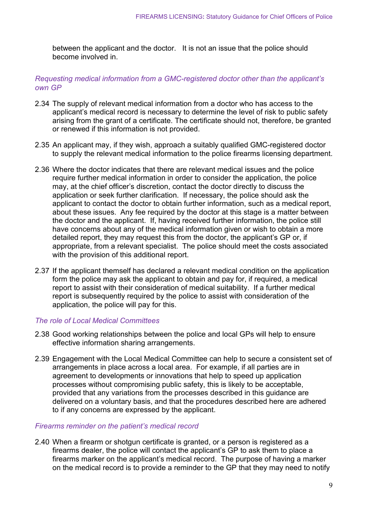between the applicant and the doctor. It is not an issue that the police should become involved in.

#### *Requesting medical information from a GMC-registered doctor other than the applicant's own GP*

- 2.34 The supply of relevant medical information from a doctor who has access to the applicant's medical record is necessary to determine the level of risk to public safety arising from the grant of a certificate. The certificate should not, therefore, be granted or renewed if this information is not provided.
- 2.35 An applicant may, if they wish, approach a suitably qualified GMC-registered doctor to supply the relevant medical information to the police firearms licensing department.
- 2.36 Where the doctor indicates that there are relevant medical issues and the police require further medical information in order to consider the application, the police may, at the chief officer's discretion, contact the doctor directly to discuss the application or seek further clarification. If necessary, the police should ask the applicant to contact the doctor to obtain further information, such as a medical report, about these issues. Any fee required by the doctor at this stage is a matter between the doctor and the applicant. If, having received further information, the police still have concerns about any of the medical information given or wish to obtain a more detailed report, they may request this from the doctor, the applicant's GP or, if appropriate, from a relevant specialist. The police should meet the costs associated with the provision of this additional report.
- 2.37 If the applicant themself has declared a relevant medical condition on the application form the police may ask the applicant to obtain and pay for, if required, a medical report to assist with their consideration of medical suitability. If a further medical report is subsequently required by the police to assist with consideration of the application, the police will pay for this.

#### *The role of Local Medical Committees*

- 2.38 Good working relationships between the police and local GPs will help to ensure effective information sharing arrangements.
- 2.39 Engagement with the Local Medical Committee can help to secure a consistent set of arrangements in place across a local area. For example, if all parties are in agreement to developments or innovations that help to speed up application processes without compromising public safety, this is likely to be acceptable, provided that any variations from the processes described in this guidance are delivered on a voluntary basis, and that the procedures described here are adhered to if any concerns are expressed by the applicant.

#### *Firearms reminder on the patient's medical record*

2.40 When a firearm or shotgun certificate is granted, or a person is registered as a firearms dealer, the police will contact the applicant's GP to ask them to place a firearms marker on the applicant's medical record. The purpose of having a marker on the medical record is to provide a reminder to the GP that they may need to notify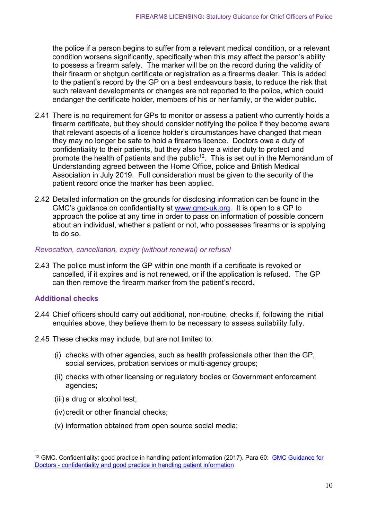the police if a person begins to suffer from a relevant medical condition, or a relevant condition worsens significantly, specifically when this may affect the person's ability to possess a firearm safely. The marker will be on the record during the validity of their firearm or shotgun certificate or registration as a firearms dealer. This is added to the patient's record by the GP on a best endeavours basis, to reduce the risk that such relevant developments or changes are not reported to the police, which could endanger the certificate holder, members of his or her family, or the wider public.

- 2.41 There is no requirement for GPs to monitor or assess a patient who currently holds a firearm certificate, but they should consider notifying the police if they become aware that relevant aspects of a licence holder's circumstances have changed that mean they may no longer be safe to hold a firearms licence. Doctors owe a duty of confidentiality to their patients, but they also have a wider duty to protect and promote the health of patients and the public[12](#page-10-0). This is set out in the Memorandum of Understanding agreed between the Home Office, police and British Medical Association in July 2019. Full consideration must be given to the security of the patient record once the marker has been applied.
- 2.42 Detailed information on the grounds for disclosing information can be found in the GMC's guidance on confidentiality at [www.gmc-uk.org.](https://www.gmc-uk.org/-/media/documents/gmc-guidance-for-doctors---confidentiality-good-practice-in-handling-patient-information----70080105.pdf?la=en&hash=08E96AC70CEE25912CE2EA98E5AA3303EADB5D88) It is open to a GP to approach the police at any time in order to pass on information of possible concern about an individual, whether a patient or not, who possesses firearms or is applying to do so.

#### *Revocation, cancellation, expiry (without renewal) or refusal*

2.43 The police must inform the GP within one month if a certificate is revoked or cancelled, if it expires and is not renewed, or if the application is refused. The GP can then remove the firearm marker from the patient's record.

#### **Additional checks**

- 2.44 Chief officers should carry out additional, non-routine, checks if, following the initial enquiries above, they believe them to be necessary to assess suitability fully.
- 2.45 These checks may include, but are not limited to:
	- (i) checks with other agencies, such as health professionals other than the GP, social services, probation services or multi-agency groups;
	- (ii) checks with other licensing or regulatory bodies or Government enforcement agencies;
	- (iii) a drug or alcohol test;
	- (iv) credit or other financial checks;
	- (v) information obtained from open source social media;

<span id="page-10-0"></span><sup>12</sup> GMC. Confidentiality: good practice in handling patient information (2017). Para 60: [GMC Guidance for](https://www.gmc-uk.org/-/media/documents/gmc-guidance-for-doctors---confidentiality-good-practice-in-handling-patient-information----70080105.pdf)  Doctors - [confidentiality and good practice in handling patient information](https://www.gmc-uk.org/-/media/documents/gmc-guidance-for-doctors---confidentiality-good-practice-in-handling-patient-information----70080105.pdf)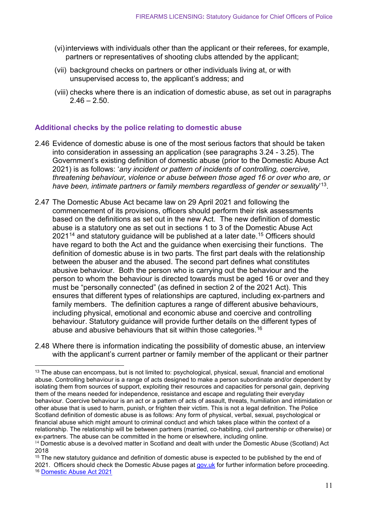- (vi)interviews with individuals other than the applicant or their referees, for example, partners or representatives of shooting clubs attended by the applicant;
- (vii) background checks on partners or other individuals living at, or with unsupervised access to, the applicant's address; and
- (viii) checks where there is an indication of domestic abuse, as set out in paragraphs  $2.46 - 2.50$

#### **Additional checks by the police relating to domestic abuse**

- 2.46 Evidence of domestic abuse is one of the most serious factors that should be taken into consideration in assessing an application (see paragraphs 3.24 - 3.25). The Government's existing definition of domestic abuse (prior to the Domestic Abuse Act 2021) is as follows: '*any incident or pattern of incidents of controlling, coercive, threatening behaviour, violence or abuse between those aged 16 or over who are, or have been, intimate partners or family members regardless of gender or sexuality*' [13.](#page-11-0)
- 2.47 The Domestic Abuse Act became law on 29 April 2021 and following the commencement of its provisions, officers should perform their risk assessments based on the definitions as set out in the new Act. The new definition of domestic abuse is a statutory one as set out in sections 1 to 3 of the Domestic Abuse Act  $2021<sup>14</sup>$  $2021<sup>14</sup>$  $2021<sup>14</sup>$  and statutory guidance will be published at a later date.<sup>[15](#page-11-2)</sup> Officers should have regard to both the Act and the guidance when exercising their functions.The definition of domestic abuse is in two parts. The first part deals with the relationship between the abuser and the abused. The second part defines what constitutes abusive behaviour.Both the person who is carrying out the behaviour and the person to whom the behaviour is directed towards must be aged 16 or over and they must be "personally connected" (as defined in section 2 of the 2021 Act). This ensures that different types of relationships are captured, including ex-partners and family members.The definition captures a range of different abusive behaviours, including physical, emotional and economic abuse and coercive and controlling behaviour. Statutory guidance will provide further details on the different types of abuse and abusive behaviours that sit within those categories.<sup>[16](#page-11-3)</sup>
- 2.48 Where there is information indicating the possibility of domestic abuse, an interview with the applicant's current partner or family member of the applicant or their partner

<span id="page-11-0"></span><sup>&</sup>lt;sup>13</sup> The abuse can encompass, but is not limited to: psychological, physical, sexual, financial and emotional abuse. Controlling behaviour is a range of acts designed to make a person subordinate and/or dependent by isolating them from sources of support, exploiting their resources and capacities for personal gain, depriving them of the means needed for independence, resistance and escape and regulating their everyday behaviour. Coercive behaviour is an act or a pattern of acts of assault, threats, humiliation and intimidation or other abuse that is used to harm, punish, or frighten their victim. This is not a legal definition. The Police Scotland definition of domestic abuse is as follows: Any form of physical, verbal, sexual, psychological or financial abuse which might amount to criminal conduct and which takes place within the context of a relationship. The relationship will be between partners (married, co-habiting, civil partnership or otherwise) or ex-partners. The abuse can be committed in the home or elsewhere, including online.

<span id="page-11-1"></span><sup>&</sup>lt;sup>14</sup> Domestic abuse is a devolved matter in Scotland and dealt with under the Domestic Abuse (Scotland) Act 2018

<span id="page-11-3"></span><span id="page-11-2"></span><sup>&</sup>lt;sup>15</sup> The new statutory guidance and definition of domestic abuse is expected to be published by the end of 2021. Officers should check the Domestic Abuse pages at [gov.uk](https://www.gov.uk/topic/law-justice-system/domestic-violence) for further information before proceeding. <sup>16</sup> [Domestic Abuse Act 2021](https://www.legislation.gov.uk/ukpga/2021/17/contents/enacted)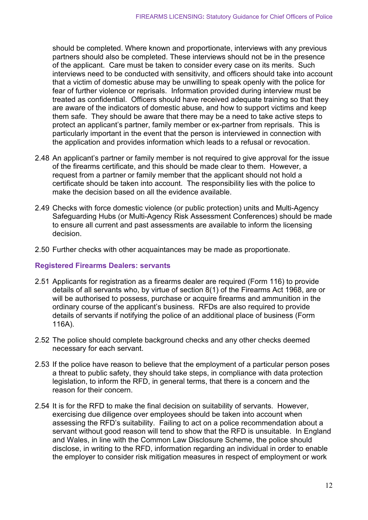should be completed. Where known and proportionate, interviews with any previous partners should also be completed. These interviews should not be in the presence of the applicant. Care must be taken to consider every case on its merits. Such interviews need to be conducted with sensitivity, and officers should take into account that a victim of domestic abuse may be unwilling to speak openly with the police for fear of further violence or reprisals. Information provided during interview must be treated as confidential. Officers should have received adequate training so that they are aware of the indicators of domestic abuse, and how to support victims and keep them safe. They should be aware that there may be a need to take active steps to protect an applicant's partner, family member or ex-partner from reprisals. This is particularly important in the event that the person is interviewed in connection with the application and provides information which leads to a refusal or revocation.

- 2.48 An applicant's partner or family member is not required to give approval for the issue of the firearms certificate, and this should be made clear to them. However, a request from a partner or family member that the applicant should not hold a certificate should be taken into account. The responsibility lies with the police to make the decision based on all the evidence available.
- 2.49 Checks with force domestic violence (or public protection) units and Multi-Agency Safeguarding Hubs (or Multi-Agency Risk Assessment Conferences) should be made to ensure all current and past assessments are available to inform the licensing decision.
- 2.50 Further checks with other acquaintances may be made as proportionate.

#### **Registered Firearms Dealers: servants**

- 2.51 Applicants for registration as a firearms dealer are required (Form 116) to provide details of all servants who, by virtue of section 8(1) of the Firearms Act 1968, are or will be authorised to possess, purchase or acquire firearms and ammunition in the ordinary course of the applicant's business. RFDs are also required to provide details of servants if notifying the police of an additional place of business (Form 116A).
- 2.52 The police should complete background checks and any other checks deemed necessary for each servant.
- 2.53 If the police have reason to believe that the employment of a particular person poses a threat to public safety, they should take steps, in compliance with data protection legislation, to inform the RFD, in general terms, that there is a concern and the reason for their concern.
- 2.54 It is for the RFD to make the final decision on suitability of servants. However, exercising due diligence over employees should be taken into account when assessing the RFD's suitability. Failing to act on a police recommendation about a servant without good reason will tend to show that the RFD is unsuitable. In England and Wales, in line with the Common Law Disclosure Scheme, the police should disclose, in writing to the RFD, information regarding an individual in order to enable the employer to consider risk mitigation measures in respect of employment or work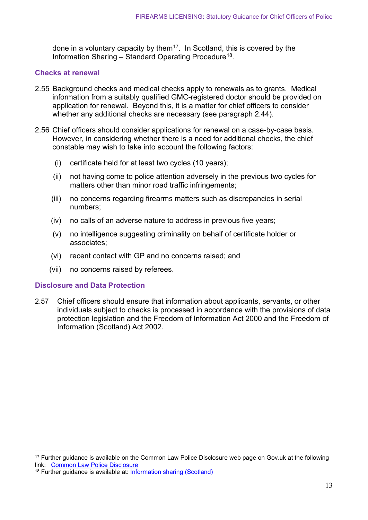done in a voluntary capacity by them<sup>[17](#page-13-0)</sup>. In Scotland, this is covered by the Information Sharing  $-$  Standard Operating Procedure<sup>18</sup>.

#### **Checks at renewal**

- 2.55 Background checks and medical checks apply to renewals as to grants. Medical information from a suitably qualified GMC-registered doctor should be provided on application for renewal. Beyond this, it is a matter for chief officers to consider whether any additional checks are necessary (see paragraph 2.44).
- 2.56 Chief officers should consider applications for renewal on a case-by-case basis. However, in considering whether there is a need for additional checks, the chief constable may wish to take into account the following factors:
	- (i) certificate held for at least two cycles (10 years);
	- (ii) not having come to police attention adversely in the previous two cycles for matters other than minor road traffic infringements;
	- (iii) no concerns regarding firearms matters such as discrepancies in serial numbers;
	- (iv) no calls of an adverse nature to address in previous five years;
	- (v) no intelligence suggesting criminality on behalf of certificate holder or associates;
	- (vi) recent contact with GP and no concerns raised; and
	- (vii) no concerns raised by referees.

#### **Disclosure and Data Protection**

2.57 Chief officers should ensure that information about applicants, servants, or other individuals subject to checks is processed in accordance with the provisions of data protection legislation and the Freedom of Information Act 2000 and the Freedom of Information (Scotland) Act 2002.

<span id="page-13-0"></span><sup>&</sup>lt;sup>17</sup> Further guidance is available on the Common Law Police Disclosure web page on Gov.uk at the following link: [Common Law Police Disclosure](https://www.gov.uk/government/publications/common-law-police-disclosure)

<span id="page-13-1"></span><sup>18</sup> Further guidance is available at: Information [sharing \(Scotland\)](https://www.scotland.police.uk/spa-media/yprn0c10/information-sharing-sop.pdf)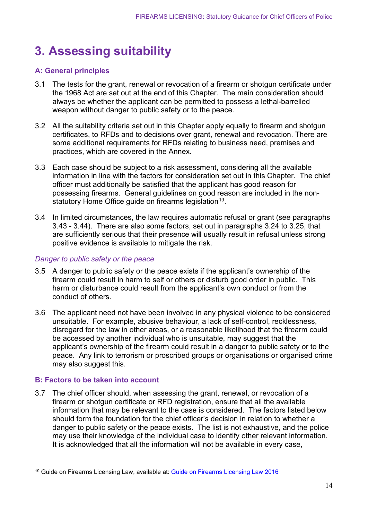## <span id="page-14-0"></span>**3. Assessing suitability**

#### **A: General principles**

- 3.1 The tests for the grant, renewal or revocation of a firearm or shotgun certificate under the 1968 Act are set out at the end of this Chapter. The main consideration should always be whether the applicant can be permitted to possess a lethal-barrelled weapon without danger to public safety or to the peace.
- 3.2 All the suitability criteria set out in this Chapter apply equally to firearm and shotgun certificates, to RFDs and to decisions over grant, renewal and revocation. There are some additional requirements for RFDs relating to business need, premises and practices, which are covered in the Annex.
- 3.3 Each case should be subject to a risk assessment, considering all the available information in line with the factors for consideration set out in this Chapter. The chief officer must additionally be satisfied that the applicant has good reason for possessing firearms. General guidelines on good reason are included in the non-statutory Home Office guide on firearms legislation<sup>[19](#page-14-1)</sup>.
- 3.4 In limited circumstances, the law requires automatic refusal or grant (see paragraphs 3.43 - 3.44). There are also some factors, set out in paragraphs 3.24 to 3.25, that are sufficiently serious that their presence will usually result in refusal unless strong positive evidence is available to mitigate the risk.

#### *Danger to public safety or the peace*

- 3.5 A danger to public safety or the peace exists if the applicant's ownership of the firearm could result in harm to self or others or disturb good order in public. This harm or disturbance could result from the applicant's own conduct or from the conduct of others.
- 3.6 The applicant need not have been involved in any physical violence to be considered unsuitable. For example, abusive behaviour, a lack of self-control, recklessness, disregard for the law in other areas, or a reasonable likelihood that the firearm could be accessed by another individual who is unsuitable, may suggest that the applicant's ownership of the firearm could result in a danger to public safety or to the peace. Any link to terrorism or proscribed groups or organisations or organised crime may also suggest this.

#### **B: Factors to be taken into account**

3.7 The chief officer should, when assessing the grant, renewal, or revocation of a firearm or shotgun certificate or RFD registration, ensure that all the available information that may be relevant to the case is considered. The factors listed below should form the foundation for the chief officer's decision in relation to whether a danger to public safety or the peace exists. The list is not exhaustive, and the police may use their knowledge of the individual case to identify other relevant information. It is acknowledged that all the information will not be available in every case,

<span id="page-14-1"></span><sup>19</sup> Guide on Firearms Licensing Law, available at: [Guide on Firearms Licensing Law 2016](https://www.gov.uk/government/publications/firearms-law-guidance-to-the-police-2012)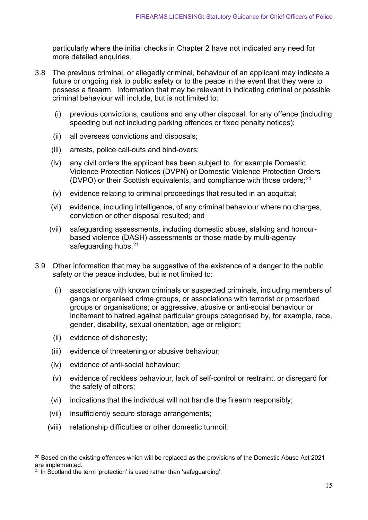particularly where the initial checks in Chapter 2 have not indicated any need for more detailed enquiries.

- 3.8 The previous criminal, or allegedly criminal, behaviour of an applicant may indicate a future or ongoing risk to public safety or to the peace in the event that they were to possess a firearm. Information that may be relevant in indicating criminal or possible criminal behaviour will include, but is not limited to:
	- (i) previous convictions, cautions and any other disposal, for any offence (including speeding but not including parking offences or fixed penalty notices);
	- (ii) all overseas convictions and disposals;
	- (iii) arrests, police call-outs and bind-overs;
	- (iv) any civil orders the applicant has been subject to, for example Domestic Violence Protection Notices (DVPN) or Domestic Violence Protection Orders (DVPO) or their Scottish equivalents, and compliance with those orders; [20](#page-15-0)
	- (v) evidence relating to criminal proceedings that resulted in an acquittal;
	- (vi) evidence, including intelligence, of any criminal behaviour where no charges, conviction or other disposal resulted; and
	- (vii) safeguarding assessments, including domestic abuse, stalking and honourbased violence (DASH) assessments or those made by multi-agency safeguarding hubs. $21$
- 3.9 Other information that may be suggestive of the existence of a danger to the public safety or the peace includes, but is not limited to:
	- (i) associations with known criminals or suspected criminals, including members of gangs or organised crime groups, or associations with terrorist or proscribed groups or organisations; or aggressive, abusive or anti-social behaviour or incitement to hatred against particular groups categorised by, for example, race, gender, disability, sexual orientation, age or religion;
	- (ii) evidence of dishonesty;
	- (iii) evidence of threatening or abusive behaviour;
	- (iv) evidence of anti-social behaviour;
	- (v) evidence of reckless behaviour, lack of self-control or restraint, or disregard for the safety of others;
	- (vi) indications that the individual will not handle the firearm responsibly;
	- (vii) insufficiently secure storage arrangements;
	- (viii) relationship difficulties or other domestic turmoil;

<span id="page-15-0"></span><sup>&</sup>lt;sup>20</sup> Based on the existing offences which will be replaced as the provisions of the Domestic Abuse Act 2021 are implemented.

<span id="page-15-1"></span> $21$  In Scotland the term 'protection' is used rather than 'safeguarding'.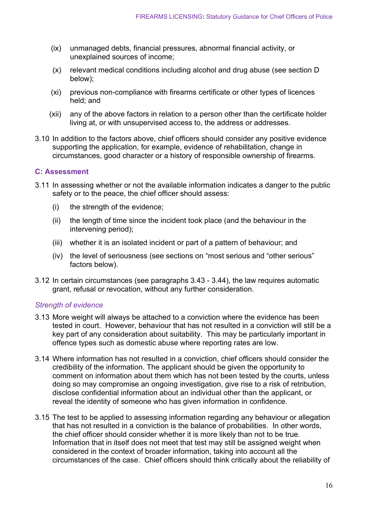- (ix) unmanaged debts, financial pressures, abnormal financial activity, or unexplained sources of income;
- (x) relevant medical conditions including alcohol and drug abuse (see section D below);
- (xi) previous non-compliance with firearms certificate or other types of licences held; and
- (xii) any of the above factors in relation to a person other than the certificate holder living at, or with unsupervised access to, the address or addresses.
- 3.10 In addition to the factors above, chief officers should consider any positive evidence supporting the application, for example, evidence of rehabilitation, change in circumstances, good character or a history of responsible ownership of firearms.

#### **C: Assessment**

- 3.11 In assessing whether or not the available information indicates a danger to the public safety or to the peace, the chief officer should assess:
	- (i) the strength of the evidence;
	- (ii) the length of time since the incident took place (and the behaviour in the intervening period);
	- (iii) whether it is an isolated incident or part of a pattern of behaviour; and
	- (iv) the level of seriousness (see sections on "most serious and "other serious" factors below).
- 3.12 In certain circumstances (see paragraphs 3.43 3.44), the law requires automatic grant, refusal or revocation, without any further consideration.

#### *Strength of evidence*

- 3.13 More weight will always be attached to a conviction where the evidence has been tested in court. However, behaviour that has not resulted in a conviction will still be a key part of any consideration about suitability. This may be particularly important in offence types such as domestic abuse where reporting rates are low.
- 3.14 Where information has not resulted in a conviction, chief officers should consider the credibility of the information. The applicant should be given the opportunity to comment on information about them which has not been tested by the courts, unless doing so may compromise an ongoing investigation, give rise to a risk of retribution, disclose confidential information about an individual other than the applicant, or reveal the identity of someone who has given information in confidence.
- 3.15 The test to be applied to assessing information regarding any behaviour or allegation that has not resulted in a conviction is the balance of probabilities. In other words, the chief officer should consider whether it is more likely than not to be true. Information that in itself does not meet that test may still be assigned weight when considered in the context of broader information, taking into account all the circumstances of the case. Chief officers should think critically about the reliability of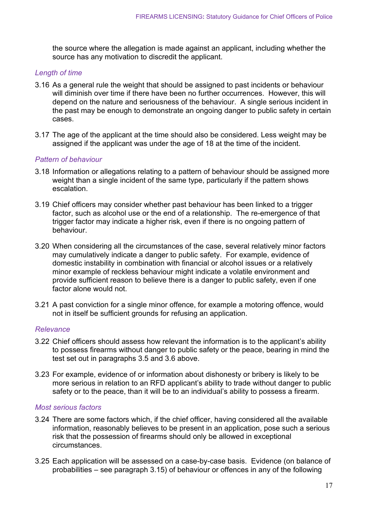the source where the allegation is made against an applicant, including whether the source has any motivation to discredit the applicant.

#### *Length of time*

- 3.16 As a general rule the weight that should be assigned to past incidents or behaviour will diminish over time if there have been no further occurrences. However, this will depend on the nature and seriousness of the behaviour. A single serious incident in the past may be enough to demonstrate an ongoing danger to public safety in certain cases.
- 3.17 The age of the applicant at the time should also be considered. Less weight may be assigned if the applicant was under the age of 18 at the time of the incident.

#### *Pattern of behaviour*

- 3.18 Information or allegations relating to a pattern of behaviour should be assigned more weight than a single incident of the same type, particularly if the pattern shows escalation.
- 3.19 Chief officers may consider whether past behaviour has been linked to a trigger factor, such as alcohol use or the end of a relationship. The re-emergence of that trigger factor may indicate a higher risk, even if there is no ongoing pattern of behaviour.
- 3.20 When considering all the circumstances of the case, several relatively minor factors may cumulatively indicate a danger to public safety. For example, evidence of domestic instability in combination with financial or alcohol issues or a relatively minor example of reckless behaviour might indicate a volatile environment and provide sufficient reason to believe there is a danger to public safety, even if one factor alone would not.
- 3.21 A past conviction for a single minor offence, for example a motoring offence, would not in itself be sufficient grounds for refusing an application.

#### *Relevance*

- 3.22 Chief officers should assess how relevant the information is to the applicant's ability to possess firearms without danger to public safety or the peace, bearing in mind the test set out in paragraphs 3.5 and 3.6 above.
- 3.23 For example, evidence of or information about dishonesty or bribery is likely to be more serious in relation to an RFD applicant's ability to trade without danger to public safety or to the peace, than it will be to an individual's ability to possess a firearm.

#### *Most serious factors*

- 3.24 There are some factors which, if the chief officer, having considered all the available information, reasonably believes to be present in an application, pose such a serious risk that the possession of firearms should only be allowed in exceptional circumstances.
- 3.25 Each application will be assessed on a case-by-case basis. Evidence (on balance of probabilities – see paragraph 3.15) of behaviour or offences in any of the following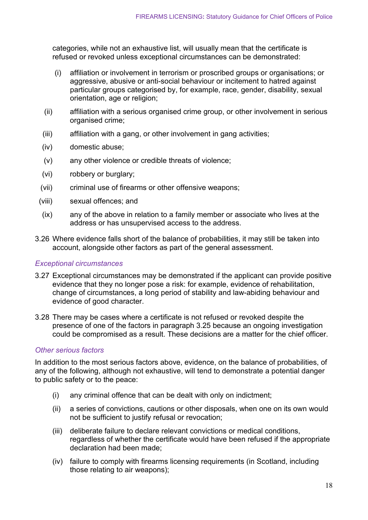categories, while not an exhaustive list, will usually mean that the certificate is refused or revoked unless exceptional circumstances can be demonstrated:

- (i) affiliation or involvement in terrorism or proscribed groups or organisations; or aggressive, abusive or anti-social behaviour or incitement to hatred against particular groups categorised by, for example, race, gender, disability, sexual orientation, age or religion;
- (ii) affiliation with a serious organised crime group, or other involvement in serious organised crime;
- (iii) affiliation with a gang, or other involvement in gang activities;
- (iv) domestic abuse;
- (v) any other violence or credible threats of violence;
- (vi) robbery or burglary;
- (vii) criminal use of firearms or other offensive weapons;
- (viii) sexual offences; and
- (ix) any of the above in relation to a family member or associate who lives at the address or has unsupervised access to the address.
- 3.26 Where evidence falls short of the balance of probabilities, it may still be taken into account, alongside other factors as part of the general assessment.

#### *Exceptional circumstances*

- 3.27 Exceptional circumstances may be demonstrated if the applicant can provide positive evidence that they no longer pose a risk: for example, evidence of rehabilitation, change of circumstances, a long period of stability and law-abiding behaviour and evidence of good character.
- 3.28 There may be cases where a certificate is not refused or revoked despite the presence of one of the factors in paragraph 3.25 because an ongoing investigation could be compromised as a result. These decisions are a matter for the chief officer.

#### *Other serious factors*

In addition to the most serious factors above, evidence, on the balance of probabilities, of any of the following, although not exhaustive, will tend to demonstrate a potential danger to public safety or to the peace:

- (i) any criminal offence that can be dealt with only on indictment;
- (ii) a series of convictions, cautions or other disposals, when one on its own would not be sufficient to justify refusal or revocation;
- (iii) deliberate failure to declare relevant convictions or medical conditions, regardless of whether the certificate would have been refused if the appropriate declaration had been made;
- (iv) failure to comply with firearms licensing requirements (in Scotland, including those relating to air weapons);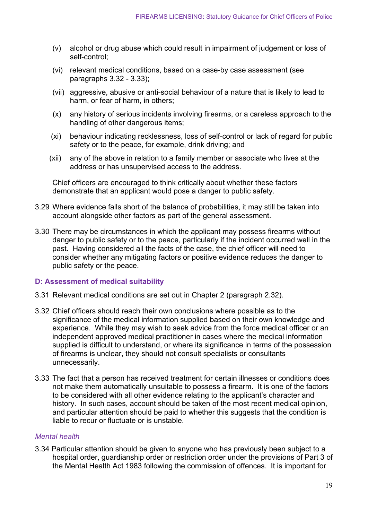- (v) alcohol or drug abuse which could result in impairment of judgement or loss of self-control;
- (vi) relevant medical conditions, based on a case-by case assessment (see paragraphs 3.32 - 3.33);
- (vii) aggressive, abusive or anti-social behaviour of a nature that is likely to lead to harm, or fear of harm, in others;
- (x) any history of serious incidents involving firearms, or a careless approach to the handling of other dangerous items;
- (xi) behaviour indicating recklessness, loss of self-control or lack of regard for public safety or to the peace, for example, drink driving; and
- (xii) any of the above in relation to a family member or associate who lives at the address or has unsupervised access to the address.

Chief officers are encouraged to think critically about whether these factors demonstrate that an applicant would pose a danger to public safety.

- 3.29 Where evidence falls short of the balance of probabilities, it may still be taken into account alongside other factors as part of the general assessment.
- 3.30 There may be circumstances in which the applicant may possess firearms without danger to public safety or to the peace, particularly if the incident occurred well in the past. Having considered all the facts of the case, the chief officer will need to consider whether any mitigating factors or positive evidence reduces the danger to public safety or the peace.

#### **D: Assessment of medical suitability**

- 3.31 Relevant medical conditions are set out in Chapter 2 (paragraph 2.32).
- 3.32 Chief officers should reach their own conclusions where possible as to the significance of the medical information supplied based on their own knowledge and experience. While they may wish to seek advice from the force medical officer or an independent approved medical practitioner in cases where the medical information supplied is difficult to understand, or where its significance in terms of the possession of firearms is unclear, they should not consult specialists or consultants unnecessarily.
- 3.33 The fact that a person has received treatment for certain illnesses or conditions does not make them automatically unsuitable to possess a firearm. It is one of the factors to be considered with all other evidence relating to the applicant's character and history. In such cases, account should be taken of the most recent medical opinion, and particular attention should be paid to whether this suggests that the condition is liable to recur or fluctuate or is unstable.

#### *Mental health*

3.34 Particular attention should be given to anyone who has previously been subject to a hospital order, guardianship order or restriction order under the provisions of Part 3 of the Mental Health Act 1983 following the commission of offences. It is important for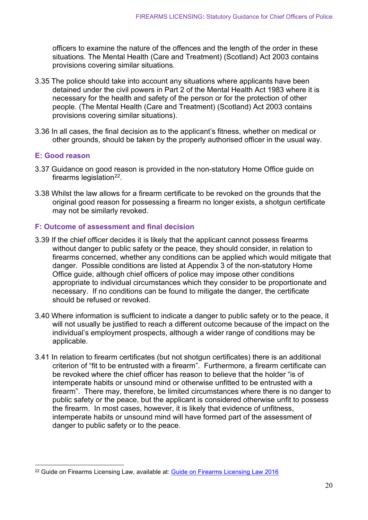officers to examine the nature of the offences and the length of the order in these situations. The Mental Health (Care and Treatment) (Scotland) Act 2003 contains provisions covering similar situations.

- 3.35 The police should take into account any situations where applicants have been detained under the civil powers in Part 2 of the Mental Health Act 1983 where it is necessary for the health and safety of the person or for the protection of other people. (The Mental Health (Care and Treatment) (Scotland) Act 2003 contains provisions covering similar situations).
- 3.36 In all cases, the final decision as to the applicant's fitness, whether on medical or other grounds, should be taken by the properly authorised officer in the usual way.

#### **E: Good reason**

- 3.37 Guidance on good reason is provided in the non-statutory Home Office guide on firearms legislation $22$ .
- 3.38 Whilst the law allows for a firearm certificate to be revoked on the grounds that the original good reason for possessing a firearm no longer exists, a shotgun certificate may not be similarly revoked.

#### **F: Outcome of assessment and final decision**

- 3.39 If the chief officer decides it is likely that the applicant cannot possess firearms without danger to public safety or the peace, they should consider, in relation to firearms concerned, whether any conditions can be applied which would mitigate that danger. Possible conditions are listed at Appendix 3 of the non-statutory Home Office guide, although chief officers of police may impose other conditions appropriate to individual circumstances which they consider to be proportionate and necessary. If no conditions can be found to mitigate the danger, the certificate should be refused or revoked.
- 3.40 Where information is sufficient to indicate a danger to public safety or to the peace, it will not usually be justified to reach a different outcome because of the impact on the individual's employment prospects, although a wider range of conditions may be applicable.
- 3.41 In relation to firearm certificates (but not shotgun certificates) there is an additional criterion of "fit to be entrusted with a firearm". Furthermore, a firearm certificate can be revoked where the chief officer has reason to believe that the holder "is of intemperate habits or unsound mind or otherwise unfitted to be entrusted with a firearm". There may, therefore, be limited circumstances where there is no danger to public safety or the peace, but the applicant is considered otherwise unfit to possess the firearm. In most cases, however, it is likely that evidence of unfitness, intemperate habits or unsound mind will have formed part of the assessment of danger to public safety or to the peace.

<span id="page-20-0"></span><sup>&</sup>lt;sup>22</sup> Guide on Firearms Licensing Law, available at: [Guide on Firearms Licensing Law 2016](https://www.gov.uk/government/publications/firearms-law-guidance-to-the-police-2012)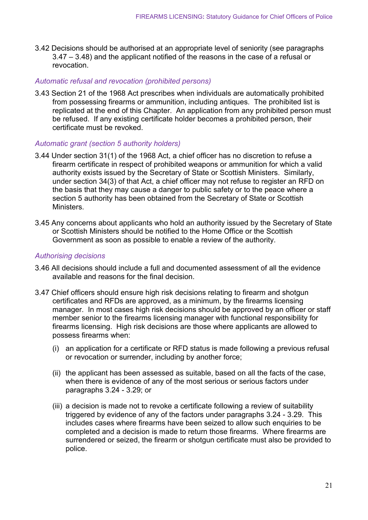3.42 Decisions should be authorised at an appropriate level of seniority (see paragraphs 3.47 – 3.48) and the applicant notified of the reasons in the case of a refusal or revocation.

#### *Automatic refusal and revocation (prohibited persons)*

3.43 Section 21 of the 1968 Act prescribes when individuals are automatically prohibited from possessing firearms or ammunition, including antiques. The prohibited list is replicated at the end of this Chapter. An application from any prohibited person must be refused. If any existing certificate holder becomes a prohibited person, their certificate must be revoked.

#### *Automatic grant (section 5 authority holders)*

- 3.44 Under section 31(1) of the 1968 Act, a chief officer has no discretion to refuse a firearm certificate in respect of prohibited weapons or ammunition for which a valid authority exists issued by the Secretary of State or Scottish Ministers. Similarly, under section 34(3) of that Act, a chief officer may not refuse to register an RFD on the basis that they may cause a danger to public safety or to the peace where a section 5 authority has been obtained from the Secretary of State or Scottish **Ministers**
- 3.45 Any concerns about applicants who hold an authority issued by the Secretary of State or Scottish Ministers should be notified to the Home Office or the Scottish Government as soon as possible to enable a review of the authority.

#### *Authorising decisions*

- 3.46 All decisions should include a full and documented assessment of all the evidence available and reasons for the final decision.
- 3.47 Chief officers should ensure high risk decisions relating to firearm and shotgun certificates and RFDs are approved, as a minimum, by the firearms licensing manager. In most cases high risk decisions should be approved by an officer or staff member senior to the firearms licensing manager with functional responsibility for firearms licensing. High risk decisions are those where applicants are allowed to possess firearms when:
	- (i) an application for a certificate or RFD status is made following a previous refusal or revocation or surrender, including by another force;
	- (ii) the applicant has been assessed as suitable, based on all the facts of the case, when there is evidence of any of the most serious or serious factors under paragraphs 3.24 - 3.29; or
	- (iii) a decision is made not to revoke a certificate following a review of suitability triggered by evidence of any of the factors under paragraphs 3.24 - 3.29. This includes cases where firearms have been seized to allow such enquiries to be completed and a decision is made to return those firearms. Where firearms are surrendered or seized, the firearm or shotgun certificate must also be provided to police.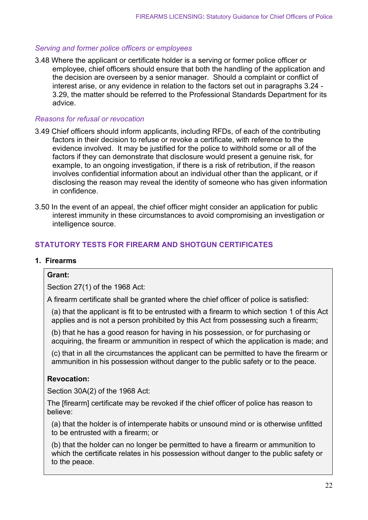#### *Serving and former police officers or employees*

3.48 Where the applicant or certificate holder is a serving or former police officer or employee, chief officers should ensure that both the handling of the application and the decision are overseen by a senior manager. Should a complaint or conflict of interest arise, or any evidence in relation to the factors set out in paragraphs 3.24 - 3.29, the matter should be referred to the Professional Standards Department for its advice.

#### *Reasons for refusal or revocation*

- 3.49 Chief officers should inform applicants, including RFDs, of each of the contributing factors in their decision to refuse or revoke a certificate, with reference to the evidence involved. It may be justified for the police to withhold some or all of the factors if they can demonstrate that disclosure would present a genuine risk, for example, to an ongoing investigation, if there is a risk of retribution, if the reason involves confidential information about an individual other than the applicant, or if disclosing the reason may reveal the identity of someone who has given information in confidence.
- 3.50 In the event of an appeal, the chief officer might consider an application for public interest immunity in these circumstances to avoid compromising an investigation or intelligence source.

#### **STATUTORY TESTS FOR FIREARM AND SHOTGUN CERTIFICATES**

#### **1. Firearms**

#### **Grant:**

Section 27(1) of the 1968 Act:

A firearm certificate shall be granted where the chief officer of police is satisfied:

(a) that the applicant is fit to be entrusted with a firearm to which section 1 of this Act applies and is not a person prohibited by this Act from possessing such a firearm;

(b) that he has a good reason for having in his possession, or for purchasing or acquiring, the firearm or ammunition in respect of which the application is made; and

(c) that in all the circumstances the applicant can be permitted to have the firearm or ammunition in his possession without danger to the public safety or to the peace.

#### **Revocation:**

Section 30A(2) of the 1968 Act:

The [firearm] certificate may be revoked if the chief officer of police has reason to believe:

(a) that the holder is of intemperate habits or unsound mind or is otherwise unfitted to be entrusted with a firearm; or

(b) that the holder can no longer be permitted to have a firearm or ammunition to which the certificate relates in his possession without danger to the public safety or to the peace.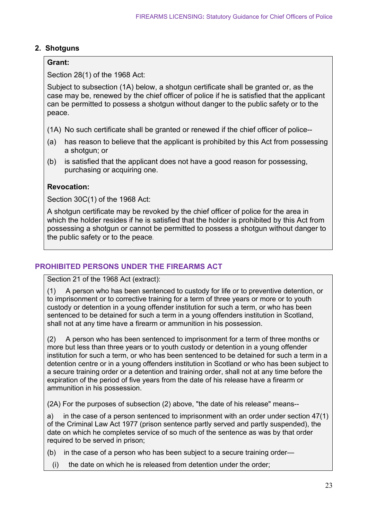#### **2. Shotguns**

#### **Grant:**

Section 28(1) of the 1968 Act:

Subject to subsection (1A) below, a shotgun certificate shall be granted or, as the case may be, renewed by the chief officer of police if he is satisfied that the applicant can be permitted to possess a shotgun without danger to the public safety or to the peace.

- (1A) No such certificate shall be granted or renewed if the chief officer of police--
- (a) has reason to believe that the applicant is prohibited by this Act from possessing a shotgun; or
- (b) is satisfied that the applicant does not have a good reason for possessing, purchasing or acquiring one.

#### **Revocation:**

Section 30C(1) of the 1968 Act:

A shotgun certificate may be revoked by the chief officer of police for the area in which the holder resides if he is satisfied that the holder is prohibited by this Act from possessing a shotgun or cannot be permitted to possess a shotgun without danger to the public safety or to the peace.

#### **PROHIBITED PERSONS UNDER THE FIREARMS ACT**

Section 21 of the 1968 Act (extract):

(1) A person who has been sentenced to custody for life or to preventive detention, or to imprisonment or to corrective training for a term of three years or more or to youth custody or detention in a young offender institution for such a term, or who has been sentenced to be detained for such a term in a young offenders institution in Scotland, shall not at any time have a firearm or ammunition in his possession.

(2) A person who has been sentenced to imprisonment for a term of three months or more but less than three years or to youth custody or detention in a young offender institution for such a term, or who has been sentenced to be detained for such a term in a detention centre or in a young offenders institution in Scotland or who has been subject to a secure training order or a detention and training order, shall not at any time before the expiration of the period of five years from the date of his release have a firearm or ammunition in his possession.

(2A) For the purposes of subsection (2) above, "the date of his release" means--

a) in the case of a person sentenced to imprisonment with an order under section 47(1) of the Criminal Law Act 1977 (prison sentence partly served and partly suspended), the date on which he completes service of so much of the sentence as was by that order required to be served in prison;

- (b) in the case of a person who has been subject to a secure training order—
- (i) the date on which he is released from detention under the order;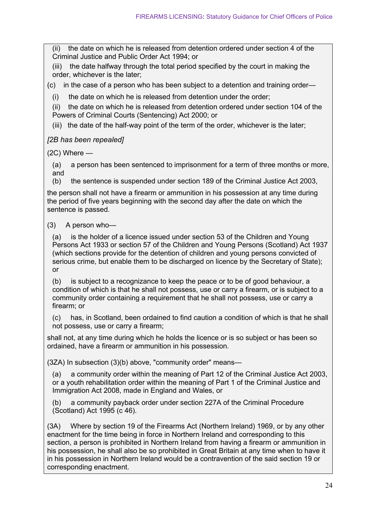(ii) the date on which he is released from detention ordered under section 4 of the Criminal Justice and Public Order Act 1994; or

(iii) the date halfway through the total period specified by the court in making the order, whichever is the later;

(c) in the case of a person who has been subject to a detention and training order—

(i) the date on which he is released from detention under the order;

(ii) the date on which he is released from detention ordered under section 104 of the Powers of Criminal Courts (Sentencing) Act 2000; or

(iii) the date of the half-way point of the term of the order, whichever is the later;

#### *[2B has been repealed]*

(2C) Where —

(a) a person has been sentenced to imprisonment for a term of three months or more, and

(b) the sentence is suspended under section 189 of the Criminal Justice Act 2003,

the person shall not have a firearm or ammunition in his possession at any time during the period of five years beginning with the second day after the date on which the sentence is passed.

#### (3) A person who—

(a) is the holder of a licence issued under section 53 of the Children and Young Persons Act 1933 or section 57 of the Children and Young Persons (Scotland) Act 1937 (which sections provide for the detention of children and young persons convicted of serious crime, but enable them to be discharged on licence by the Secretary of State); or

(b) is subject to a recognizance to keep the peace or to be of good behaviour, a condition of which is that he shall not possess, use or carry a firearm, or is subject to a community order containing a requirement that he shall not possess, use or carry a firearm; or

(c) has, in Scotland, been ordained to find caution a condition of which is that he shall not possess, use or carry a firearm;

shall not, at any time during which he holds the licence or is so subject or has been so ordained, have a firearm or ammunition in his possession.

(3ZA) In subsection (3)(b) above, "community order" means—

(a) a community order within the meaning of Part 12 of the Criminal Justice Act 2003, or a youth rehabilitation order within the meaning of Part 1 of the Criminal Justice and Immigration Act 2008, made in England and Wales, or

(b) a community payback order under section 227A of the Criminal Procedure (Scotland) Act 1995 (c 46).

(3A) Where by section 19 of the Firearms Act (Northern Ireland) 1969, or by any other enactment for the time being in force in Northern Ireland and corresponding to this section, a person is prohibited in Northern Ireland from having a firearm or ammunition in his possession, he shall also be so prohibited in Great Britain at any time when to have it in his possession in Northern Ireland would be a contravention of the said section 19 or corresponding enactment.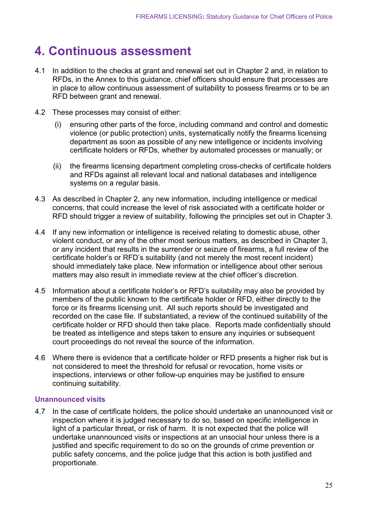### <span id="page-25-0"></span>**4. Continuous assessment**

- 4.1 In addition to the checks at grant and renewal set out in Chapter 2 and, in relation to RFDs, in the Annex to this guidance, chief officers should ensure that processes are in place to allow continuous assessment of suitability to possess firearms or to be an RFD between grant and renewal.
- 4.2 These processes may consist of either:
	- (i) ensuring other parts of the force, including command and control and domestic violence (or public protection) units, systematically notify the firearms licensing department as soon as possible of any new intelligence or incidents involving certificate holders or RFDs, whether by automated processes or manually; or
	- (ii) the firearms licensing department completing cross-checks of certificate holders and RFDs against all relevant local and national databases and intelligence systems on a regular basis.
- 4.3 As described in Chapter 2, any new information, including intelligence or medical concerns, that could increase the level of risk associated with a certificate holder or RFD should trigger a review of suitability, following the principles set out in Chapter 3.
- 4.4 If any new information or intelligence is received relating to domestic abuse, other violent conduct, or any of the other most serious matters, as described in Chapter 3, or any incident that results in the surrender or seizure of firearms, a full review of the certificate holder's or RFD's suitability (and not merely the most recent incident) should immediately take place. New information or intelligence about other serious matters may also result in immediate review at the chief officer's discretion.
- 4.5 Information about a certificate holder's or RFD's suitability may also be provided by members of the public known to the certificate holder or RFD, either directly to the force or its firearms licensing unit. All such reports should be investigated and recorded on the case file. If substantiated, a review of the continued suitability of the certificate holder or RFD should then take place. Reports made confidentially should be treated as intelligence and steps taken to ensure any inquiries or subsequent court proceedings do not reveal the source of the information.
- 4.6 Where there is evidence that a certificate holder or RFD presents a higher risk but is not considered to meet the threshold for refusal or revocation, home visits or inspections, interviews or other follow-up enquiries may be justified to ensure continuing suitability.

#### **Unannounced visits**

4.7 In the case of certificate holders, the police should undertake an unannounced visit or inspection where it is judged necessary to do so, based on specific intelligence in light of a particular threat, or risk of harm. It is not expected that the police will undertake unannounced visits or inspections at an unsocial hour unless there is a justified and specific requirement to do so on the grounds of crime prevention or public safety concerns, and the police judge that this action is both justified and proportionate.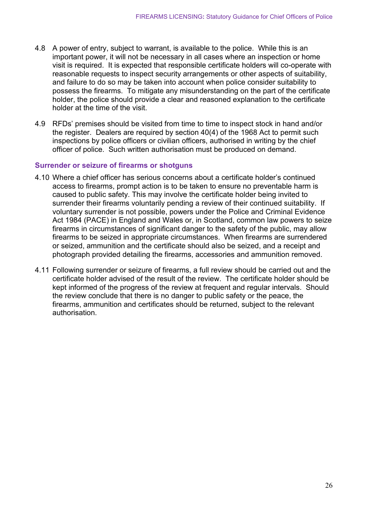- 4.8 A power of entry, subject to warrant, is available to the police. While this is an important power, it will not be necessary in all cases where an inspection or home visit is required. It is expected that responsible certificate holders will co-operate with reasonable requests to inspect security arrangements or other aspects of suitability, and failure to do so may be taken into account when police consider suitability to possess the firearms. To mitigate any misunderstanding on the part of the certificate holder, the police should provide a clear and reasoned explanation to the certificate holder at the time of the visit.
- 4.9 RFDs' premises should be visited from time to time to inspect stock in hand and/or the register. Dealers are required by section 40(4) of the 1968 Act to permit such inspections by police officers or civilian officers, authorised in writing by the chief officer of police. Such written authorisation must be produced on demand.

#### **Surrender or seizure of firearms or shotguns**

- 4.10 Where a chief officer has serious concerns about a certificate holder's continued access to firearms, prompt action is to be taken to ensure no preventable harm is caused to public safety. This may involve the certificate holder being invited to surrender their firearms voluntarily pending a review of their continued suitability. If voluntary surrender is not possible, powers under the Police and Criminal Evidence Act 1984 (PACE) in England and Wales or, in Scotland, common law powers to seize firearms in circumstances of significant danger to the safety of the public, may allow firearms to be seized in appropriate circumstances. When firearms are surrendered or seized, ammunition and the certificate should also be seized, and a receipt and photograph provided detailing the firearms, accessories and ammunition removed.
- <span id="page-26-0"></span>4.11 Following surrender or seizure of firearms, a full review should be carried out and the certificate holder advised of the result of the review. The certificate holder should be kept informed of the progress of the review at frequent and regular intervals. Should the review conclude that there is no danger to public safety or the peace, the firearms, ammunition and certificates should be returned, subject to the relevant authorisation.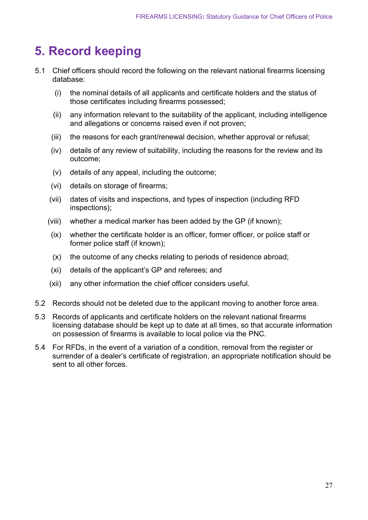### **5. Record keeping**

- 5.1 Chief officers should record the following on the relevant national firearms licensing database:
	- (i) the nominal details of all applicants and certificate holders and the status of those certificates including firearms possessed;
	- (ii) any information relevant to the suitability of the applicant, including intelligence and allegations or concerns raised even if not proven;
	- (iii) the reasons for each grant/renewal decision, whether approval or refusal;
	- (iv) details of any review of suitability, including the reasons for the review and its outcome;
	- (v) details of any appeal, including the outcome;
	- (vi) details on storage of firearms;
	- (vii) dates of visits and inspections, and types of inspection (including RFD inspections);
	- (viii) whether a medical marker has been added by the GP (if known);
	- (ix) whether the certificate holder is an officer, former officer, or police staff or former police staff (if known);
	- (x) the outcome of any checks relating to periods of residence abroad;
	- (xi) details of the applicant's GP and referees; and
	- (xii) any other information the chief officer considers useful.
- 5.2 Records should not be deleted due to the applicant moving to another force area.
- 5.3 Records of applicants and certificate holders on the relevant national firearms licensing database should be kept up to date at all times, so that accurate information on possession of firearms is available to local police via the PNC.
- 5.4 For RFDs, in the event of a variation of a condition, removal from the register or surrender of a dealer's certificate of registration, an appropriate notification should be sent to all other forces.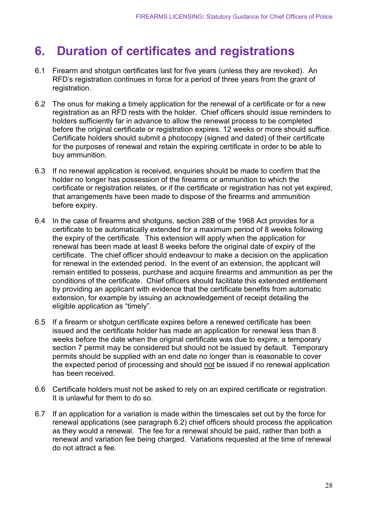### <span id="page-28-0"></span>**6. Duration of certificates and registrations**

- 6.1 Firearm and shotgun certificates last for five years (unless they are revoked). An RFD's registration continues in force for a period of three years from the grant of registration.
- 6.2 The onus for making a timely application for the renewal of a certificate or for a new registration as an RFD rests with the holder. Chief officers should issue reminders to holders sufficiently far in advance to allow the renewal process to be completed before the original certificate or registration expires. 12 weeks or more should suffice. Certificate holders should submit a photocopy (signed and dated) of their certificate for the purposes of renewal and retain the expiring certificate in order to be able to buy ammunition.
- 6.3 If no renewal application is received, enquiries should be made to confirm that the holder no longer has possession of the firearms or ammunition to which the certificate or registration relates, or if the certificate or registration has not yet expired, that arrangements have been made to dispose of the firearms and ammunition before expiry.
- 6.4 In the case of firearms and shotguns, section 28B of the 1968 Act provides for a certificate to be automatically extended for a maximum period of 8 weeks following the expiry of the certificate. This extension will apply when the application for renewal has been made at least 8 weeks before the original date of expiry of the certificate. The chief officer should endeavour to make a decision on the application for renewal in the extended period. In the event of an extension, the applicant will remain entitled to possess, purchase and acquire firearms and ammunition as per the conditions of the certificate. Chief officers should facilitate this extended entitlement by providing an applicant with evidence that the certificate benefits from automatic extension, for example by issuing an acknowledgement of receipt detailing the eligible application as "timely".
- 6.5 If a firearm or shotgun certificate expires before a renewed certificate has been issued and the certificate holder has made an application for renewal less than 8 weeks before the date when the original certificate was due to expire, a temporary section 7 permit may be considered but should not be issued by default. Temporary permits should be supplied with an end date no longer than is reasonable to cover the expected period of processing and should not be issued if no renewal application has been received.
- 6.6 Certificate holders must not be asked to rely on an expired certificate or registration. It is unlawful for them to do so.
- 6.7 If an application for a variation is made within the timescales set out by the force for renewal applications (see paragraph 6.2) chief officers should process the application as they would a renewal. The fee for a renewal should be paid, rather than both a renewal and variation fee being charged. Variations requested at the time of renewal do not attract a fee.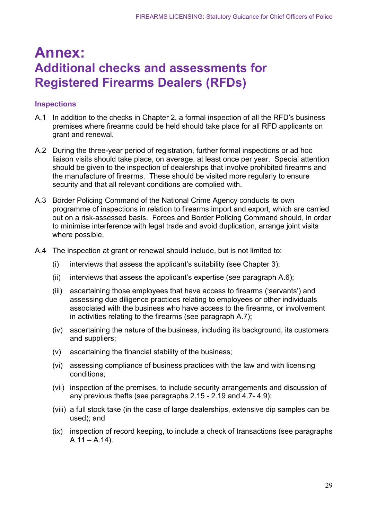### **Annex: Additional checks and assessments for Registered Firearms Dealers (RFDs)**

#### **Inspections**

- A.1 In addition to the checks in Chapter 2, a formal inspection of all the RFD's business premises where firearms could be held should take place for all RFD applicants on grant and renewal.
- A.2 During the three-year period of registration, further formal inspections or ad hoc liaison visits should take place, on average, at least once per year. Special attention should be given to the inspection of dealerships that involve prohibited firearms and the manufacture of firearms. These should be visited more regularly to ensure security and that all relevant conditions are complied with.
- A.3 Border Policing Command of the National Crime Agency conducts its own programme of inspections in relation to firearms import and export, which are carried out on a risk-assessed basis. Forces and Border Policing Command should, in order to minimise interference with legal trade and avoid duplication, arrange joint visits where possible.
- A.4 The inspection at grant or renewal should include, but is not limited to:
	- (i) interviews that assess the applicant's suitability (see Chapter 3);
	- (ii) interviews that assess the applicant's expertise (see paragraph A.6);
	- (iii) ascertaining those employees that have access to firearms ('servants') and assessing due diligence practices relating to employees or other individuals associated with the business who have access to the firearms, or involvement in activities relating to the firearms (see paragraph A.7);
	- (iv) ascertaining the nature of the business, including its background, its customers and suppliers;
	- (v) ascertaining the financial stability of the business;
	- (vi) assessing compliance of business practices with the law and with licensing conditions;
	- (vii) inspection of the premises, to include security arrangements and discussion of any previous thefts (see paragraphs 2.15 - 2.19 and 4.7- 4.9);
	- (viii) a full stock take (in the case of large dealerships, extensive dip samples can be used); and
	- (ix) inspection of record keeping, to include a check of transactions (see paragraphs  $A.11 - A.14$ ).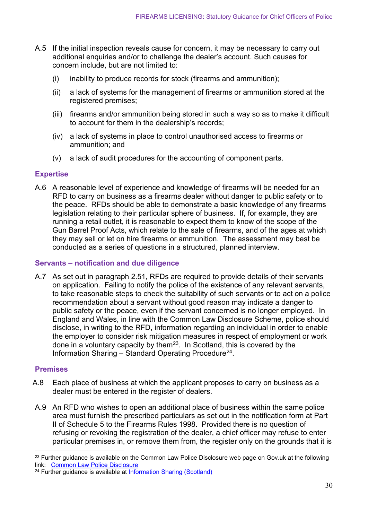- A.5 If the initial inspection reveals cause for concern, it may be necessary to carry out additional enquiries and/or to challenge the dealer's account. Such causes for concern include, but are not limited to:
	- (i) inability to produce records for stock (firearms and ammunition);
	- (ii) a lack of systems for the management of firearms or ammunition stored at the registered premises;
	- (iii) firearms and/or ammunition being stored in such a way so as to make it difficult to account for them in the dealership's records;
	- (iv) a lack of systems in place to control unauthorised access to firearms or ammunition; and
	- (v) a lack of audit procedures for the accounting of component parts.

#### **Expertise**

A.6 A reasonable level of experience and knowledge of firearms will be needed for an RFD to carry on business as a firearms dealer without danger to public safety or to the peace. RFDs should be able to demonstrate a basic knowledge of any firearms legislation relating to their particular sphere of business. If, for example, they are running a retail outlet, it is reasonable to expect them to know of the scope of the Gun Barrel Proof Acts, which relate to the sale of firearms, and of the ages at which they may sell or let on hire firearms or ammunition. The assessment may best be conducted as a series of questions in a structured, planned interview.

#### **Servants – notification and due diligence**

A.7 As set out in paragraph 2.51, RFDs are required to provide details of their servants on application. Failing to notify the police of the existence of any relevant servants, to take reasonable steps to check the suitability of such servants or to act on a police recommendation about a servant without good reason may indicate a danger to public safety or the peace, even if the servant concerned is no longer employed. In England and Wales, in line with the Common Law Disclosure Scheme, police should disclose, in writing to the RFD, information regarding an individual in order to enable the employer to consider risk mitigation measures in respect of employment or work done in a voluntary capacity by them<sup>[23](#page-30-0)</sup>. In Scotland, this is covered by the Information Sharing – Standard Operating Procedure[24.](#page-30-1)

#### **Premises**

- A.8 Each place of business at which the applicant proposes to carry on business as a dealer must be entered in the register of dealers.
- A.9 An RFD who wishes to open an additional place of business within the same police area must furnish the prescribed particulars as set out in the notification form at Part II of Schedule 5 to the Firearms Rules 1998. Provided there is no question of refusing or revoking the registration of the dealer, a chief officer may refuse to enter particular premises in, or remove them from, the register only on the grounds that it is

<span id="page-30-0"></span><sup>&</sup>lt;sup>23</sup> Further guidance is available on the Common Law Police Disclosure web page on Gov.uk at the following link: [Common Law Police Disclosure](https://www.gov.uk/government/publications/common-law-police-disclosure)

<span id="page-30-1"></span><sup>24</sup> Further guidance is available at [Information Sharing](https://www.scotland.police.uk/spa-media/yprn0c10/information-sharing-sop.pdf) (Scotland)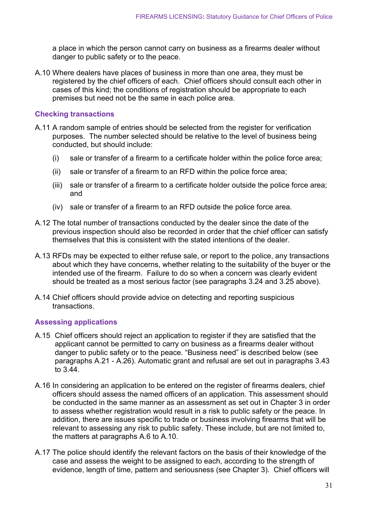a place in which the person cannot carry on business as a firearms dealer without danger to public safety or to the peace.

A.10 Where dealers have places of business in more than one area, they must be registered by the chief officers of each. Chief officers should consult each other in cases of this kind; the conditions of registration should be appropriate to each premises but need not be the same in each police area.

#### **Checking transactions**

- A.11 A random sample of entries should be selected from the register for verification purposes. The number selected should be relative to the level of business being conducted, but should include:
	- (i) sale or transfer of a firearm to a certificate holder within the police force area;
	- (ii) sale or transfer of a firearm to an RFD within the police force area;
	- (iii) sale or transfer of a firearm to a certificate holder outside the police force area; and
	- (iv) sale or transfer of a firearm to an RFD outside the police force area.
- A.12 The total number of transactions conducted by the dealer since the date of the previous inspection should also be recorded in order that the chief officer can satisfy themselves that this is consistent with the stated intentions of the dealer.
- A.13 RFDs may be expected to either refuse sale, or report to the police, any transactions about which they have concerns, whether relating to the suitability of the buyer or the intended use of the firearm. Failure to do so when a concern was clearly evident should be treated as a most serious factor (see paragraphs 3.24 and 3.25 above).
- A.14 Chief officers should provide advice on detecting and reporting suspicious transactions.

#### **Assessing applications**

- A.15 Chief officers should reject an application to register if they are satisfied that the applicant cannot be permitted to carry on business as a firearms dealer without danger to public safety or to the peace. "Business need" is described below (see paragraphs A.21 - A.26). Automatic grant and refusal are set out in paragraphs 3.43 to 3.44.
- A.16 In considering an application to be entered on the register of firearms dealers, chief officers should assess the named officers of an application. This assessment should be conducted in the same manner as an assessment as set out in Chapter 3 in order to assess whether registration would result in a risk to public safety or the peace. In addition, there are issues specific to trade or business involving firearms that will be relevant to assessing any risk to public safety. These include, but are not limited to, the matters at paragraphs A.6 to A.10.
- A.17 The police should identify the relevant factors on the basis of their knowledge of the case and assess the weight to be assigned to each, according to the strength of evidence, length of time, pattern and seriousness (see Chapter 3). Chief officers will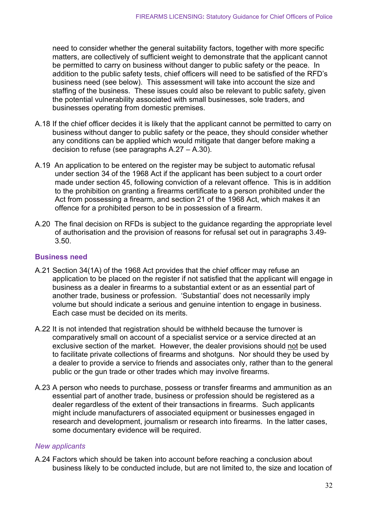need to consider whether the general suitability factors, together with more specific matters, are collectively of sufficient weight to demonstrate that the applicant cannot be permitted to carry on business without danger to public safety or the peace. In addition to the public safety tests, chief officers will need to be satisfied of the RFD's business need (see below). This assessment will take into account the size and staffing of the business. These issues could also be relevant to public safety, given the potential vulnerability associated with small businesses, sole traders, and businesses operating from domestic premises.

- A.18 If the chief officer decides it is likely that the applicant cannot be permitted to carry on business without danger to public safety or the peace, they should consider whether any conditions can be applied which would mitigate that danger before making a decision to refuse (see paragraphs A.27 – A.30).
- A.19 An application to be entered on the register may be subject to automatic refusal under section 34 of the 1968 Act if the applicant has been subject to a court order made under section 45, following conviction of a relevant offence. This is in addition to the prohibition on granting a firearms certificate to a person prohibited under the Act from possessing a firearm, and section 21 of the 1968 Act, which makes it an offence for a prohibited person to be in possession of a firearm.
- A.20 The final decision on RFDs is subject to the guidance regarding the appropriate level of authorisation and the provision of reasons for refusal set out in paragraphs 3.49- 3.50.

#### **Business need**

- A.21 Section 34(1A) of the 1968 Act provides that the chief officer may refuse an application to be placed on the register if not satisfied that the applicant will engage in business as a dealer in firearms to a substantial extent or as an essential part of another trade, business or profession. 'Substantial' does not necessarily imply volume but should indicate a serious and genuine intention to engage in business. Each case must be decided on its merits.
- A.22 It is not intended that registration should be withheld because the turnover is comparatively small on account of a specialist service or a service directed at an exclusive section of the market. However, the dealer provisions should not be used to facilitate private collections of firearms and shotguns. Nor should they be used by a dealer to provide a service to friends and associates only, rather than to the general public or the gun trade or other trades which may involve firearms.
- A.23 A person who needs to purchase, possess or transfer firearms and ammunition as an essential part of another trade, business or profession should be registered as a dealer regardless of the extent of their transactions in firearms. Such applicants might include manufacturers of associated equipment or businesses engaged in research and development, journalism or research into firearms. In the latter cases, some documentary evidence will be required.

#### *New applicants*

A.24 Factors which should be taken into account before reaching a conclusion about business likely to be conducted include, but are not limited to, the size and location of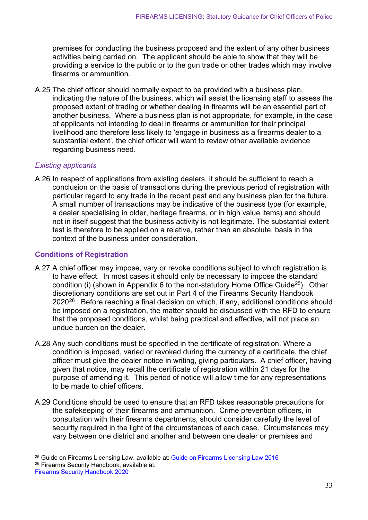premises for conducting the business proposed and the extent of any other business activities being carried on. The applicant should be able to show that they will be providing a service to the public or to the gun trade or other trades which may involve firearms or ammunition.

A.25 The chief officer should normally expect to be provided with a business plan, indicating the nature of the business, which will assist the licensing staff to assess the proposed extent of trading or whether dealing in firearms will be an essential part of another business. Where a business plan is not appropriate, for example, in the case of applicants not intending to deal in firearms or ammunition for their principal livelihood and therefore less likely to 'engage in business as a firearms dealer to a substantial extent', the chief officer will want to review other available evidence regarding business need.

#### *Existing applicants*

A.26 In respect of applications from existing dealers, it should be sufficient to reach a conclusion on the basis of transactions during the previous period of registration with particular regard to any trade in the recent past and any business plan for the future. A small number of transactions may be indicative of the business type (for example, a dealer specialising in older, heritage firearms, or in high value items) and should not in itself suggest that the business activity is not legitimate. The substantial extent test is therefore to be applied on a relative, rather than an absolute, basis in the context of the business under consideration.

#### **Conditions of Registration**

- A.27 A chief officer may impose, vary or revoke conditions subject to which registration is to have effect. In most cases it should only be necessary to impose the standard condition (i) (shown in Appendix 6 to the non-statutory Home Office Guide<sup>25</sup>). Other discretionary conditions are set out in Part 4 of the Firearms Security Handbook  $2020^{26}$  $2020^{26}$  $2020^{26}$ . Before reaching a final decision on which, if any, additional conditions should be imposed on a registration, the matter should be discussed with the RFD to ensure that the proposed conditions, whilst being practical and effective, will not place an undue burden on the dealer.
- A.28 Any such conditions must be specified in the certificate of registration. Where a condition is imposed, varied or revoked during the currency of a certificate, the chief officer must give the dealer notice in writing, giving particulars. A chief officer, having given that notice, may recall the certificate of registration within 21 days for the purpose of amending it. This period of notice will allow time for any representations to be made to chief officers.
- A.29 Conditions should be used to ensure that an RFD takes reasonable precautions for the safekeeping of their firearms and ammunition. Crime prevention officers, in consultation with their firearms departments, should consider carefully the level of security required in the light of the circumstances of each case. Circumstances may vary between one district and another and between one dealer or premises and

<span id="page-33-1"></span><span id="page-33-0"></span><sup>&</sup>lt;sup>25</sup> Guide on Firearms Licensing Law, available at: [Guide on Firearms Licensing Law 2016](https://www.gov.uk/government/publications/firearms-law-guidance-to-the-police-2012) <sup>26</sup> Firearms Security Handbook, available at: [Firearms Security Handbook 2020](https://assets.publishing.service.gov.uk/government/uploads/system/uploads/attachment_data/file/953881/Firearms_Security_Manual_2020.pdf)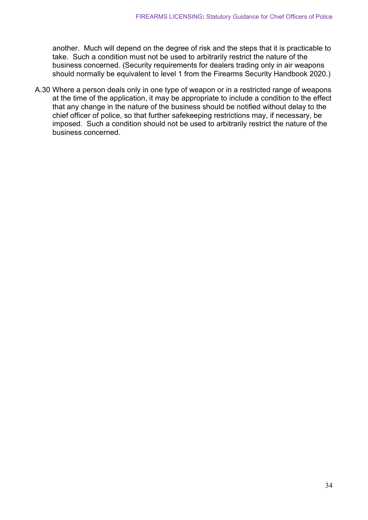another. Much will depend on the degree of risk and the steps that it is practicable to take. Such a condition must not be used to arbitrarily restrict the nature of the business concerned. (Security requirements for dealers trading only in air weapons should normally be equivalent to level 1 from the Firearms Security Handbook 2020.)

A.30 Where a person deals only in one type of weapon or in a restricted range of weapons at the time of the application, it may be appropriate to include a condition to the effect that any change in the nature of the business should be notified without delay to the chief officer of police, so that further safekeeping restrictions may, if necessary, be imposed. Such a condition should not be used to arbitrarily restrict the nature of the business concerned.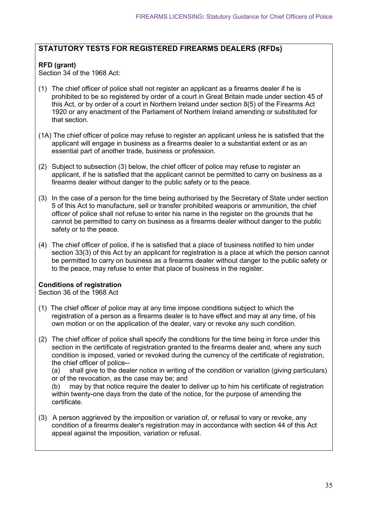#### **STATUTORY TESTS FOR REGISTERED FIREARMS DEALERS (RFDs)**

#### **RFD (grant)**

Section 34 of the 1968 Act:

- (1) The chief officer of police shall not register an applicant as a firearms dealer if he is prohibited to be so registered by order of a court in Great Britain made under section 45 of this Act, or by order of a court in Northern Ireland under section 8(5) of the Firearms Act 1920 or any enactment of the Parliament of Northern Ireland amending or substituted for that section.
- (1A) The chief officer of police may refuse to register an applicant unless he is satisfied that the applicant will engage in business as a firearms dealer to a substantial extent or as an essential part of another trade, business or profession.
- (2) Subject to subsection (3) below, the chief officer of police may refuse to register an applicant, if he is satisfied that the applicant cannot be permitted to carry on business as a firearms dealer without danger to the public safety or to the peace.
- (3) In the case of a person for the time being authorised by the Secretary of State under section 5 of this Act to manufacture, sell or transfer prohibited weapons or ammunition, the chief officer of police shall not refuse to enter his name in the register on the grounds that he cannot be permitted to carry on business as a firearms dealer without danger to the public safety or to the peace.
- (4) The chief officer of police, if he is satisfied that a place of business notified to him under section 33(3) of this Act by an applicant for registration is a place at which the person cannot be permitted to carry on business as a firearms dealer without danger to the public safety or to the peace, may refuse to enter that place of business in the register.

#### **Conditions of registration**

Section 36 of the 1968 Act

- (1) The chief officer of police may at any time impose conditions subject to which the registration of a person as a firearms dealer is to have effect and may at any time, of his own motion or on the application of the dealer, vary or revoke any such condition.
- (2) The chief officer of police shall specify the conditions for the time being in force under this section in the certificate of registration granted to the firearms dealer and, where any such condition is imposed, varied or revoked during the currency of the certificate of registration, the chief officer of police--

(a) shall give to the dealer notice in writing of the condition or variation (giving particulars) or of the revocation, as the case may be; and

may by that notice require the dealer to deliver up to him his certificate of registration within twenty-one days from the date of the notice, for the purpose of amending the certificate.

(3) A person aggrieved by the imposition or variation of, or refusal to vary or revoke, any condition of a firearms dealer's registration may in accordance with section 44 of this Act appeal against the imposition, variation or refusal.